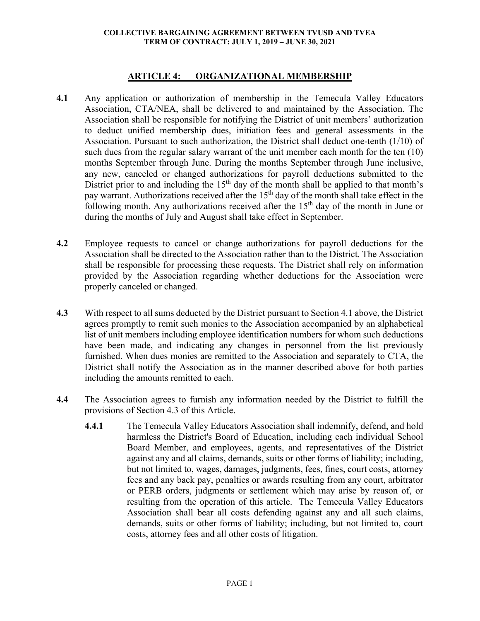### **ARTICLE 4: ORGANIZATIONAL MEMBERSHIP**

- **4.1** Any application or authorization of membership in the Temecula Valley Educators Association, CTA/NEA, shall be delivered to and maintained by the Association. The Association shall be responsible for notifying the District of unit members' authorization to deduct unified membership dues, initiation fees and general assessments in the Association. Pursuant to such authorization, the District shall deduct one-tenth (1/10) of such dues from the regular salary warrant of the unit member each month for the ten (10) months September through June. During the months September through June inclusive, any new, canceled or changed authorizations for payroll deductions submitted to the District prior to and including the  $15<sup>th</sup>$  day of the month shall be applied to that month's pay warrant. Authorizations received after the  $15<sup>th</sup>$  day of the month shall take effect in the following month. Any authorizations received after the  $15<sup>th</sup>$  day of the month in June or during the months of July and August shall take effect in September.
- **4.2** Employee requests to cancel or change authorizations for payroll deductions for the Association shall be directed to the Association rather than to the District. The Association shall be responsible for processing these requests. The District shall rely on information provided by the Association regarding whether deductions for the Association were properly canceled or changed.
- **4.3** With respect to all sums deducted by the District pursuant to Section 4.1 above, the District agrees promptly to remit such monies to the Association accompanied by an alphabetical list of unit members including employee identification numbers for whom such deductions have been made, and indicating any changes in personnel from the list previously furnished. When dues monies are remitted to the Association and separately to CTA, the District shall notify the Association as in the manner described above for both parties including the amounts remitted to each.
- **4.4** The Association agrees to furnish any information needed by the District to fulfill the provisions of Section 4.3 of this Article.
	- **4.4.1** The Temecula Valley Educators Association shall indemnify, defend, and hold harmless the District's Board of Education, including each individual School Board Member, and employees, agents, and representatives of the District against any and all claims, demands, suits or other forms of liability; including, but not limited to, wages, damages, judgments, fees, fines, court costs, attorney fees and any back pay, penalties or awards resulting from any court, arbitrator or PERB orders, judgments or settlement which may arise by reason of, or resulting from the operation of this article. The Temecula Valley Educators Association shall bear all costs defending against any and all such claims, demands, suits or other forms of liability; including, but not limited to, court costs, attorney fees and all other costs of litigation.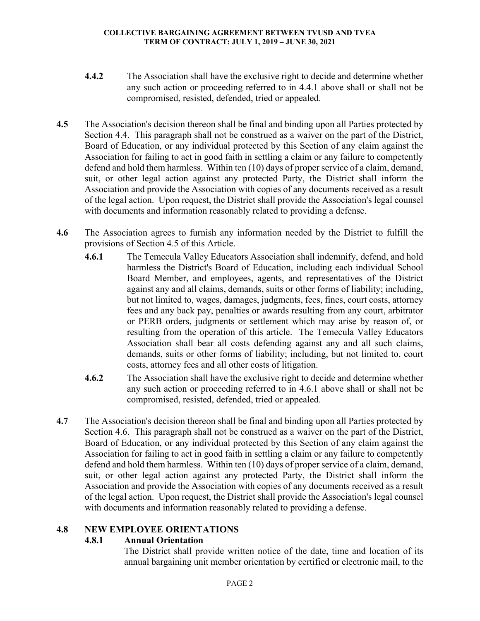- **4.4.2** The Association shall have the exclusive right to decide and determine whether any such action or proceeding referred to in 4.4.1 above shall or shall not be compromised, resisted, defended, tried or appealed.
- **4.5** The Association's decision thereon shall be final and binding upon all Parties protected by Section 4.4. This paragraph shall not be construed as a waiver on the part of the District, Board of Education, or any individual protected by this Section of any claim against the Association for failing to act in good faith in settling a claim or any failure to competently defend and hold them harmless. Within ten (10) days of proper service of a claim, demand, suit, or other legal action against any protected Party, the District shall inform the Association and provide the Association with copies of any documents received as a result of the legal action. Upon request, the District shall provide the Association's legal counsel with documents and information reasonably related to providing a defense.
- **4.6** The Association agrees to furnish any information needed by the District to fulfill the provisions of Section 4.5 of this Article.
	- **4.6.1** The Temecula Valley Educators Association shall indemnify, defend, and hold harmless the District's Board of Education, including each individual School Board Member, and employees, agents, and representatives of the District against any and all claims, demands, suits or other forms of liability; including, but not limited to, wages, damages, judgments, fees, fines, court costs, attorney fees and any back pay, penalties or awards resulting from any court, arbitrator or PERB orders, judgments or settlement which may arise by reason of, or resulting from the operation of this article. The Temecula Valley Educators Association shall bear all costs defending against any and all such claims, demands, suits or other forms of liability; including, but not limited to, court costs, attorney fees and all other costs of litigation.
	- **4.6.2** The Association shall have the exclusive right to decide and determine whether any such action or proceeding referred to in 4.6.1 above shall or shall not be compromised, resisted, defended, tried or appealed.
- **4.7** The Association's decision thereon shall be final and binding upon all Parties protected by Section 4.6. This paragraph shall not be construed as a waiver on the part of the District, Board of Education, or any individual protected by this Section of any claim against the Association for failing to act in good faith in settling a claim or any failure to competently defend and hold them harmless. Within ten (10) days of proper service of a claim, demand, suit, or other legal action against any protected Party, the District shall inform the Association and provide the Association with copies of any documents received as a result of the legal action. Upon request, the District shall provide the Association's legal counsel with documents and information reasonably related to providing a defense.

# **4.8 NEW EMPLOYEE ORIENTATIONS**

# **4.8.1 Annual Orientation**

The District shall provide written notice of the date, time and location of its annual bargaining unit member orientation by certified or electronic mail, to the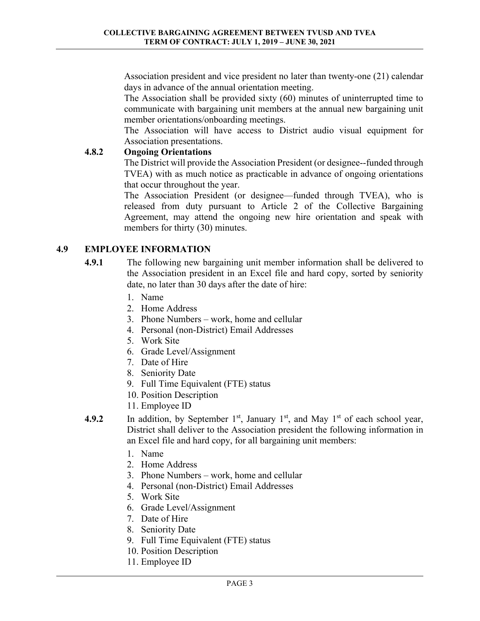Association president and vice president no later than twenty-one (21) calendar days in advance of the annual orientation meeting.

 The Association shall be provided sixty (60) minutes of uninterrupted time to communicate with bargaining unit members at the annual new bargaining unit member orientations/onboarding meetings.

 The Association will have access to District audio visual equipment for Association presentations.

# **4.8.2 Ongoing Orientations**

 The District will provide the Association President (or designee--funded through TVEA) with as much notice as practicable in advance of ongoing orientations that occur throughout the year.

 The Association President (or designee—funded through TVEA), who is released from duty pursuant to Article 2 of the Collective Bargaining Agreement, may attend the ongoing new hire orientation and speak with members for thirty (30) minutes.

# **4.9 EMPLOYEE INFORMATION**

- **4.9.1** The following new bargaining unit member information shall be delivered to the Association president in an Excel file and hard copy, sorted by seniority date, no later than 30 days after the date of hire:
	- 1. Name
	- 2. Home Address
	- 3. Phone Numbers work, home and cellular
	- 4. Personal (non-District) Email Addresses
	- 5. Work Site
	- 6. Grade Level/Assignment
	- 7. Date of Hire
	- 8. Seniority Date
	- 9. Full Time Equivalent (FTE) status
	- 10. Position Description
	- 11. Employee ID
- **4.9.2** In addition, by September  $1<sup>st</sup>$ , January  $1<sup>st</sup>$ , and May  $1<sup>st</sup>$  of each school year, District shall deliver to the Association president the following information in an Excel file and hard copy, for all bargaining unit members:
	- 1. Name
	- 2. Home Address
	- 3. Phone Numbers work, home and cellular
	- 4. Personal (non-District) Email Addresses
	- 5. Work Site
	- 6. Grade Level/Assignment
	- 7. Date of Hire
	- 8. Seniority Date
	- 9. Full Time Equivalent (FTE) status
	- 10. Position Description
	- 11. Employee ID